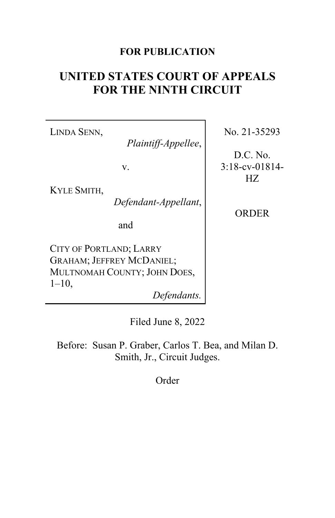## **FOR PUBLICATION**

# **UNITED STATES COURT OF APPEALS FOR THE NINTH CIRCUIT**

LINDA SENN,

*Plaintiff-Appellee*,

v.

KYLE SMITH,

*Defendant-Appellant*,

and

CITY OF PORTLAND; LARRY GRAHAM; JEFFREY MCDANIEL; MULTNOMAH COUNTY; JOHN DOES,  $1-10$ ,

*Defendants.*

No. 21-35293

D.C. No. 3:18-cv-01814- HZ

ORDER

Filed June 8, 2022

Before: Susan P. Graber, Carlos T. Bea, and Milan D. Smith, Jr., Circuit Judges.

Order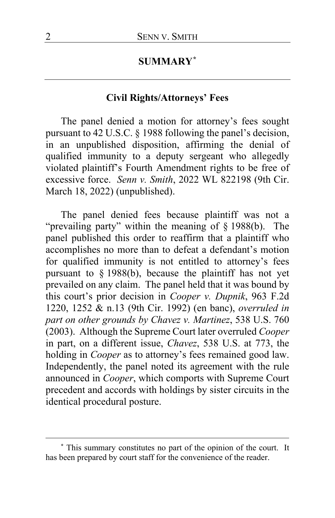## **SUMMARY[\\*](#page-1-0)**

## **Civil Rights/Attorneys' Fees**

The panel denied a motion for attorney's fees sought pursuant to 42 U.S.C. § 1988 following the panel's decision, in an unpublished disposition, affirming the denial of qualified immunity to a deputy sergeant who allegedly violated plaintiff's Fourth Amendment rights to be free of excessive force. *Senn v. Smith*, 2022 WL 822198 (9th Cir. March 18, 2022) (unpublished).

The panel denied fees because plaintiff was not a "prevailing party" within the meaning of § 1988(b). The panel published this order to reaffirm that a plaintiff who accomplishes no more than to defeat a defendant's motion for qualified immunity is not entitled to attorney's fees pursuant to § 1988(b), because the plaintiff has not yet prevailed on any claim. The panel held that it was bound by this court's prior decision in *Cooper v. Dupnik*, 963 F.2d 1220, 1252 & n.13 (9th Cir. 1992) (en banc), *overruled in part on other grounds by Chavez v. Martinez*, 538 U.S. 760 (2003). Although the Supreme Court later overruled *Cooper* in part, on a different issue, *Chavez*, 538 U.S. at 773, the holding in *Cooper* as to attorney's fees remained good law. Independently, the panel noted its agreement with the rule announced in *Cooper*, which comports with Supreme Court precedent and accords with holdings by sister circuits in the identical procedural posture.

<span id="page-1-0"></span>**<sup>\*</sup>** This summary constitutes no part of the opinion of the court. It has been prepared by court staff for the convenience of the reader.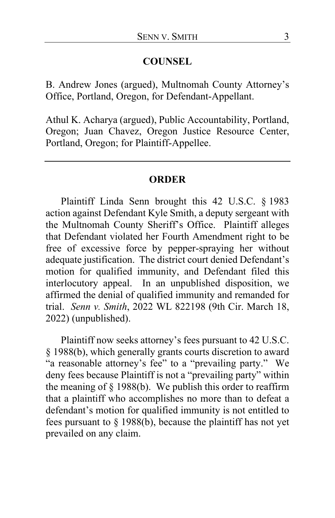#### **COUNSEL**

B. Andrew Jones (argued), Multnomah County Attorney's Office, Portland, Oregon, for Defendant-Appellant.

Athul K. Acharya (argued), Public Accountability, Portland, Oregon; Juan Chavez, Oregon Justice Resource Center, Portland, Oregon; for Plaintiff-Appellee.

#### **ORDER**

Plaintiff Linda Senn brought this 42 U.S.C. § 1983 action against Defendant Kyle Smith, a deputy sergeant with the Multnomah County Sheriff's Office. Plaintiff alleges that Defendant violated her Fourth Amendment right to be free of excessive force by pepper-spraying her without adequate justification. The district court denied Defendant's motion for qualified immunity, and Defendant filed this interlocutory appeal. In an unpublished disposition, we affirmed the denial of qualified immunity and remanded for trial. *Senn v. Smith*, 2022 WL 822198 (9th Cir. March 18, 2022) (unpublished).

Plaintiff now seeks attorney's fees pursuant to 42 U.S.C. § 1988(b), which generally grants courts discretion to award "a reasonable attorney's fee" to a "prevailing party." We deny fees because Plaintiff is not a "prevailing party" within the meaning of  $\S$  1988(b). We publish this order to reaffirm that a plaintiff who accomplishes no more than to defeat a defendant's motion for qualified immunity is not entitled to fees pursuant to § 1988(b), because the plaintiff has not yet prevailed on any claim.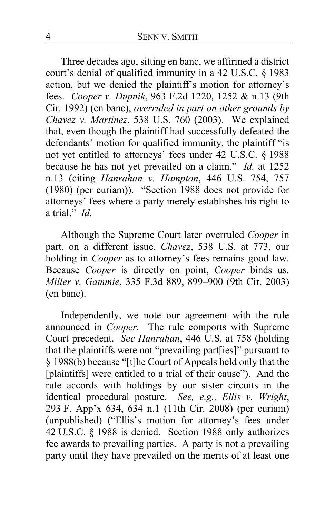Three decades ago, sitting en banc, we affirmed a district court's denial of qualified immunity in a 42 U.S.C. § 1983 action, but we denied the plaintiff's motion for attorney's fees. *Cooper v. Dupnik*, 963 F.2d 1220, 1252 & n.13 (9th Cir. 1992) (en banc), *overruled in part on other grounds by Chavez v. Martinez*, 538 U.S. 760 (2003). We explained that, even though the plaintiff had successfully defeated the defendants' motion for qualified immunity, the plaintiff "is not yet entitled to attorneys' fees under 42 U.S.C. § 1988 because he has not yet prevailed on a claim." *Id.* at 1252 n.13 (citing *Hanrahan v. Hampton*, 446 U.S. 754, 757 (1980) (per curiam)). "Section 1988 does not provide for attorneys' fees where a party merely establishes his right to a trial." *Id.*

Although the Supreme Court later overruled *Cooper* in part, on a different issue, *Chavez*, 538 U.S. at 773, our holding in *Cooper* as to attorney's fees remains good law. Because *Cooper* is directly on point, *Cooper* binds us. *Miller v. Gammie*, 335 F.3d 889, 899–900 (9th Cir. 2003) (en banc).

Independently, we note our agreement with the rule announced in *Cooper.* The rule comports with Supreme Court precedent. *See Hanrahan*, 446 U.S. at 758 (holding that the plaintiffs were not "prevailing part[ies]" pursuant to § 1988(b) because "[t]he Court of Appeals held only that the [plaintiffs] were entitled to a trial of their cause"). And the rule accords with holdings by our sister circuits in the identical procedural posture. *See, e.g., Ellis v. Wright*, 293 F. App'x 634, 634 n.1 (11th Cir. 2008) (per curiam) (unpublished) ("Ellis's motion for attorney's fees under 42 U.S.C. § 1988 is denied. Section 1988 only authorizes fee awards to prevailing parties. A party is not a prevailing party until they have prevailed on the merits of at least one